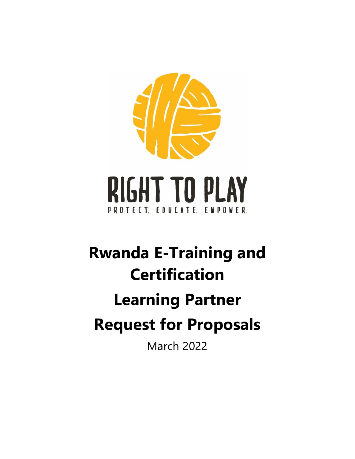

# **Rwanda E-Training and Certification Learning Partner Request for Proposals** March 2022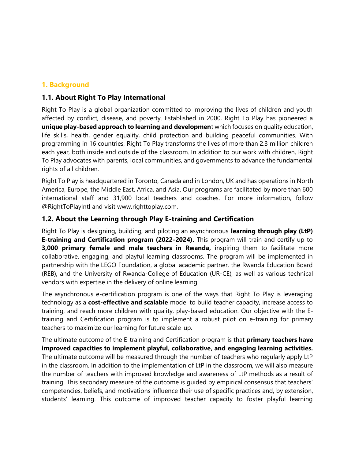### **1. Background**

#### **1.1. About Right To Play International**

Right To Play is a global organization committed to improving the lives of children and youth affected by conflict, disease, and poverty. Established in 2000, Right To Play has pioneered a **unique play-based approach to learning and developmen**t which focuses on quality education, life skills, health, gender equality, child protection and building peaceful communities. With programming in 16 countries, Right To Play transforms the lives of more than 2.3 million children each year, both inside and outside of the classroom. In addition to our work with children, Right To Play advocates with parents, local communities, and governments to advance the fundamental rights of all children.

Right To Play is headquartered in Toronto, Canada and in London, UK and has operations in North America, Europe, the Middle East, Africa, and Asia. Our programs are facilitated by more than 600 international staff and 31,900 local teachers and coaches. For more information, follow @RightToPlayIntl and visit www.righttoplay.com.

#### **1.2. About the Learning through Play E-training and Certification**

Right To Play is designing, building, and piloting an asynchronous **learning through play (LtP) E-training and Certification program (2022-2024).** This program will train and certify up to **3,000 primary female and male teachers in Rwanda,** inspiring them to facilitate more collaborative, engaging, and playful learning classrooms. The program will be implemented in partnership with the LEGO Foundation, a global academic partner, the Rwanda Education Board (REB), and the University of Rwanda-College of Education (UR-CE), as well as various technical vendors with expertise in the delivery of online learning.

The asynchronous e-certification program is one of the ways that Right To Play is leveraging technology as a **cost-effective and scalable** model to build teacher capacity, increase access to training, and reach more children with quality, play-based education. Our objective with the Etraining and Certification program is to implement a robust pilot on e-training for primary teachers to maximize our learning for future scale-up.

The ultimate outcome of the E-training and Certification program is that **primary teachers have improved capacities to implement playful, collaborative, and engaging learning activities.**  The ultimate outcome will be measured through the number of teachers who regularly apply LtP in the classroom. In addition to the implementation of LtP in the classroom, we will also measure the number of teachers with improved knowledge and awareness of LtP methods as a result of training. This secondary measure of the outcome is guided by empirical consensus that teachers' competencies, beliefs, and motivations influence their use of specific practices and, by extension, students' learning. This outcome of improved teacher capacity to foster playful learning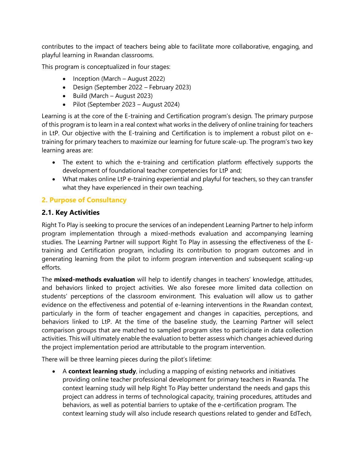contributes to the impact of teachers being able to facilitate more collaborative, engaging, and playful learning in Rwandan classrooms.

This program is conceptualized in four stages:

- Inception (March August 2022)
- Design (September 2022 February 2023)
- Build (March August 2023)
- Pilot (September 2023 August 2024)

Learning is at the core of the E-training and Certification program's design. The primary purpose of this program is to learn in a real context what works in the delivery of online training for teachers in LtP. Our objective with the E-training and Certification is to implement a robust pilot on etraining for primary teachers to maximize our learning for future scale-up. The program's two key learning areas are:

- The extent to which the e-training and certification platform effectively supports the development of foundational teacher competencies for LtP and;
- What makes online LtP e-training experiential and playful for teachers, so they can transfer what they have experienced in their own teaching.

#### **2. Purpose of Consultancy**

#### **2.1. Key Activities**

Right To Play is seeking to procure the services of an independent Learning Partner to help inform program implementation through a mixed-methods evaluation and accompanying learning studies. The Learning Partner will support Right To Play in assessing the effectiveness of the Etraining and Certification program, including its contribution to program outcomes and in generating learning from the pilot to inform program intervention and subsequent scaling-up efforts.

The **mixed-methods evaluation** will help to identify changes in teachers' knowledge, attitudes, and behaviors linked to project activities. We also foresee more limited data collection on students' perceptions of the classroom environment. This evaluation will allow us to gather evidence on the effectiveness and potential of e-learning interventions in the Rwandan context, particularly in the form of teacher engagement and changes in capacities, perceptions, and behaviors linked to LtP. At the time of the baseline study, the Learning Partner will select comparison groups that are matched to sampled program sites to participate in data collection activities. This will ultimately enable the evaluation to better assess which changes achieved during the project implementation period are attributable to the program intervention.

There will be three learning pieces during the pilot's lifetime:

• A **context learning study**, including a mapping of existing networks and initiatives providing online teacher professional development for primary teachers in Rwanda. The context learning study will help Right To Play better understand the needs and gaps this project can address in terms of technological capacity, training procedures, attitudes and behaviors, as well as potential barriers to uptake of the e-certification program. The context learning study will also include research questions related to gender and EdTech,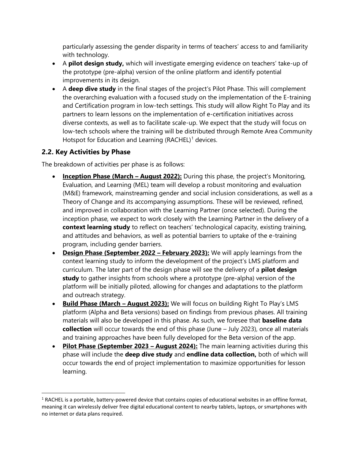particularly assessing the gender disparity in terms of teachers' access to and familiarity with technology.

- A **pilot design study,** which will investigate emerging evidence on teachers' take-up of the prototype (pre-alpha) version of the online platform and identify potential improvements in its design.
- A **deep dive study** in the final stages of the project's Pilot Phase. This will complement the overarching evaluation with a focused study on the implementation of the E-training and Certification program in low-tech settings. This study will allow Right To Play and its partners to learn lessons on the implementation of e-certification initiatives across diverse contexts, as well as to facilitate scale-up. We expect that the study will focus on low-tech schools where the training will be distributed through Remote Area Community Hotspot for Education and Learning  $(RACHEL)^1$  devices.

#### **2.2. Key Activities by Phase**

The breakdown of activities per phase is as follows:

- **Inception Phase (March August 2022):** During this phase, the project's Monitoring, Evaluation, and Learning (MEL) team will develop a robust monitoring and evaluation (M&E) framework, mainstreaming gender and social inclusion considerations, as well as a Theory of Change and its accompanying assumptions. These will be reviewed, refined, and improved in collaboration with the Learning Partner (once selected). During the inception phase, we expect to work closely with the Learning Partner in the delivery of a **context learning study** to reflect on teachers' technological capacity, existing training, and attitudes and behaviors, as well as potential barriers to uptake of the e-training program, including gender barriers.
- **Design Phase (September 2022 – February 2023):** We will apply learnings from the context learning study to inform the development of the project's LMS platform and curriculum. The later part of the design phase will see the delivery of a **pilot design study** to gather insights from schools where a prototype (pre-alpha) version of the platform will be initially piloted, allowing for changes and adaptations to the platform and outreach strategy.
- **Build Phase (March – August 2023):** We will focus on building Right To Play's LMS platform (Alpha and Beta versions) based on findings from previous phases. All training materials will also be developed in this phase. As such, we foresee that **baseline data collection** will occur towards the end of this phase (June – July 2023), once all materials and training approaches have been fully developed for the Beta version of the app.
- **Pilot Phase (September 2023 – August 2024):** The main learning activities during this phase will include the **deep dive study** and **endline data collection,** both of which will occur towards the end of project implementation to maximize opportunities for lesson learning.

 $1$  RACHEL is a portable, battery-powered device that contains copies of educational websites in an offline format, meaning it can wirelessly deliver free digital educational content to nearby tablets, laptops, or smartphones with no internet or data plans required.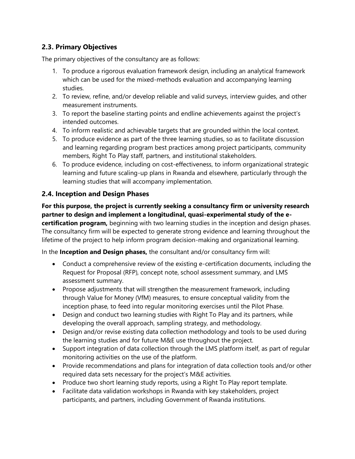# **2.3. Primary Objectives**

The primary objectives of the consultancy are as follows:

- 1. To produce a rigorous evaluation framework design, including an analytical framework which can be used for the mixed-methods evaluation and accompanying learning studies.
- 2. To review, refine, and/or develop reliable and valid surveys, interview guides, and other measurement instruments.
- 3. To report the baseline starting points and endline achievements against the project's intended outcomes.
- 4. To inform realistic and achievable targets that are grounded within the local context.
- 5. To produce evidence as part of the three learning studies, so as to facilitate discussion and learning regarding program best practices among project participants, community members, Right To Play staff, partners, and institutional stakeholders.
- 6. To produce evidence, including on cost-effectiveness, to inform organizational strategic learning and future scaling-up plans in Rwanda and elsewhere, particularly through the learning studies that will accompany implementation.

## **2.4. Inception and Design Phases**

**For this purpose, the project is currently seeking a consultancy firm or university research partner to design and implement a longitudinal, quasi-experimental study of the ecertification program,** beginning with two learning studies in the inception and design phases. The consultancy firm will be expected to generate strong evidence and learning throughout the lifetime of the project to help inform program decision-making and organizational learning.

In the **Inception and Design phases,** the consultant and/or consultancy firm will:

- Conduct a comprehensive review of the existing e-certification documents, including the Request for Proposal (RFP), concept note, school assessment summary, and LMS assessment summary.
- Propose adjustments that will strengthen the measurement framework, including through Value for Money (VfM) measures, to ensure conceptual validity from the inception phase, to feed into regular monitoring exercises until the Pilot Phase.
- Design and conduct two learning studies with Right To Play and its partners, while developing the overall approach, sampling strategy, and methodology.
- Design and/or revise existing data collection methodology and tools to be used during the learning studies and for future M&E use throughout the project.
- Support integration of data collection through the LMS platform itself, as part of regular monitoring activities on the use of the platform.
- Provide recommendations and plans for integration of data collection tools and/or other required data sets necessary for the project's M&E activities.
- Produce two short learning study reports, using a Right To Play report template.
- Facilitate data validation workshops in Rwanda with key stakeholders, project participants, and partners, including Government of Rwanda institutions.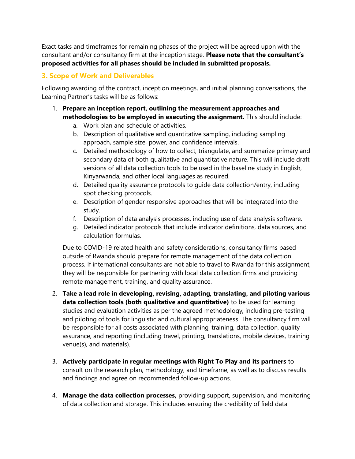Exact tasks and timeframes for remaining phases of the project will be agreed upon with the consultant and/or consultancy firm at the inception stage. **Please note that the consultant's proposed activities for all phases should be included in submitted proposals.**

# **3. Scope of Work and Deliverables**

Following awarding of the contract, inception meetings, and initial planning conversations, the Learning Partner's tasks will be as follows:

- 1. **Prepare an inception report, outlining the measurement approaches and methodologies to be employed in executing the assignment.** This should include:
	- a. Work plan and schedule of activities.
	- b. Description of qualitative and quantitative sampling, including sampling approach, sample size, power, and confidence intervals.
	- c. Detailed methodology of how to collect, triangulate, and summarize primary and secondary data of both qualitative and quantitative nature. This will include draft versions of all data collection tools to be used in the baseline study in English, Kinyarwanda, and other local languages as required.
	- d. Detailed quality assurance protocols to guide data collection/entry, including spot checking protocols.
	- e. Description of gender responsive approaches that will be integrated into the study.
	- f. Description of data analysis processes, including use of data analysis software.
	- g. Detailed indicator protocols that include indicator definitions, data sources, and calculation formulas.

Due to COVID-19 related health and safety considerations, consultancy firms based outside of Rwanda should prepare for remote management of the data collection process. If international consultants are not able to travel to Rwanda for this assignment, they will be responsible for partnering with local data collection firms and providing remote management, training, and quality assurance.

- 2. **Take a lead role in developing, revising, adapting, translating, and piloting various data collection tools (both qualitative and quantitative)** to be used for learning studies and evaluation activities as per the agreed methodology, including pre-testing and piloting of tools for linguistic and cultural appropriateness. The consultancy firm will be responsible for all costs associated with planning, training, data collection, quality assurance, and reporting (including travel, printing, translations, mobile devices, training venue(s), and materials).
- 3. **Actively participate in regular meetings with Right To Play and its partners** to consult on the research plan, methodology, and timeframe, as well as to discuss results and findings and agree on recommended follow-up actions.
- 4. **Manage the data collection processes,** providing support, supervision, and monitoring of data collection and storage. This includes ensuring the credibility of field data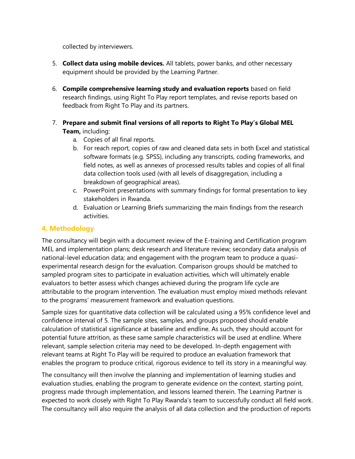collected by interviewers.

- 5. **Collect data using mobile devices.** All tablets, power banks, and other necessary equipment should be provided by the Learning Partner.
- 6. **Compile comprehensive learning study and evaluation reports** based on field research findings, using Right To Play report templates, and revise reports based on feedback from Right To Play and its partners.
- 7. **Prepare and submit final versions of all reports to Right To Play's Global MEL Team,** including:
	- a. Copies of all final reports.
	- b. For reach report, copies of raw and cleaned data sets in both Excel and statistical software formats (e.g. SPSS), including any transcripts, coding frameworks, and field notes, as well as annexes of processed results tables and copies of all final data collection tools used (with all levels of disaggregation, including a breakdown of geographical areas).
	- c. PowerPoint presentations with summary findings for formal presentation to key stakeholders in Rwanda.
	- d. Evaluation or Learning Briefs summarizing the main findings from the research activities.

#### **4. Methodology**

The consultancy will begin with a document review of the E-training and Certification program MEL and implementation plans; desk research and literature review; secondary data analysis of national-level education data; and engagement with the program team to produce a quasiexperimental research design for the evaluation. Comparison groups should be matched to sampled program sites to participate in evaluation activities, which will ultimately enable evaluators to better assess which changes achieved during the program life cycle are attributable to the program intervention. The evaluation must employ mixed methods relevant to the programs' measurement framework and evaluation questions.

Sample sizes for quantitative data collection will be calculated using a 95% confidence level and confidence interval of 5. The sample sites, samples, and groups proposed should enable calculation of statistical significance at baseline and endline. As such, they should account for potential future attrition, as these same sample characteristics will be used at endline. Where relevant, sample selection criteria may need to be developed. In-depth engagement with relevant teams at Right To Play will be required to produce an evaluation framework that enables the program to produce critical, rigorous evidence to tell its story in a meaningful way.

The consultancy will then involve the planning and implementation of learning studies and evaluation studies, enabling the program to generate evidence on the context, starting point, progress made through implementation, and lessons learned therein. The Learning Partner is expected to work closely with Right To Play Rwanda's team to successfully conduct all field work. The consultancy will also require the analysis of all data collection and the production of reports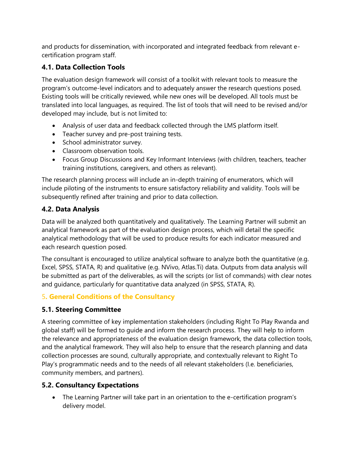and products for dissemination, with incorporated and integrated feedback from relevant ecertification program staff.

# **4.1. Data Collection Tools**

The evaluation design framework will consist of a toolkit with relevant tools to measure the program's outcome-level indicators and to adequately answer the research questions posed. Existing tools will be critically reviewed, while new ones will be developed. All tools must be translated into local languages, as required. The list of tools that will need to be revised and/or developed may include, but is not limited to:

- Analysis of user data and feedback collected through the LMS platform itself.
- Teacher survey and pre-post training tests.
- School administrator survey.
- Classroom observation tools.
- Focus Group Discussions and Key Informant Interviews (with children, teachers, teacher training institutions, caregivers, and others as relevant).

The research planning process will include an in-depth training of enumerators, which will include piloting of the instruments to ensure satisfactory reliability and validity. Tools will be subsequently refined after training and prior to data collection.

# **4.2. Data Analysis**

Data will be analyzed both quantitatively and qualitatively. The Learning Partner will submit an analytical framework as part of the evaluation design process, which will detail the specific analytical methodology that will be used to produce results for each indicator measured and each research question posed.

The consultant is encouraged to utilize analytical software to analyze both the quantitative (e.g. Excel, SPSS, STATA, R) and qualitative (e.g. NVivo, Atlas.Ti) data. Outputs from data analysis will be submitted as part of the deliverables, as will the scripts (or list of commands) with clear notes and guidance, particularly for quantitative data analyzed (in SPSS, STATA, R).

# 5**. General Conditions of the Consultancy**

# **5.1. Steering Committee**

A steering committee of key implementation stakeholders (including Right To Play Rwanda and global staff) will be formed to guide and inform the research process. They will help to inform the relevance and appropriateness of the evaluation design framework, the data collection tools, and the analytical framework. They will also help to ensure that the research planning and data collection processes are sound, culturally appropriate, and contextually relevant to Right To Play's programmatic needs and to the needs of all relevant stakeholders (I.e. beneficiaries, community members, and partners).

# **5.2. Consultancy Expectations**

• The Learning Partner will take part in an orientation to the e-certification program's delivery model.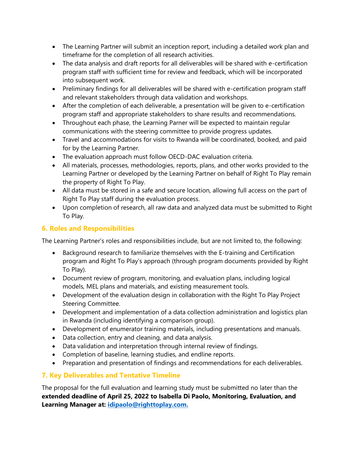- The Learning Partner will submit an inception report, including a detailed work plan and timeframe for the completion of all research activities.
- The data analysis and draft reports for all deliverables will be shared with e-certification program staff with sufficient time for review and feedback, which will be incorporated into subsequent work.
- Preliminary findings for all deliverables will be shared with e-certification program staff and relevant stakeholders through data validation and workshops.
- After the completion of each deliverable, a presentation will be given to e-certification program staff and appropriate stakeholders to share results and recommendations.
- Throughout each phase, the Learning Parner will be expected to maintain regular communications with the steering committee to provide progress updates.
- Travel and accommodations for visits to Rwanda will be coordinated, booked, and paid for by the Learning Partner.
- The evaluation approach must follow OECD-DAC evaluation criteria.
- All materials, processes, methodologies, reports, plans, and other works provided to the Learning Partner or developed by the Learning Partner on behalf of Right To Play remain the property of Right To Play.
- All data must be stored in a safe and secure location, allowing full access on the part of Right To Play staff during the evaluation process.
- Upon completion of research, all raw data and analyzed data must be submitted to Right To Play.

# **6. Roles and Responsibilities**

The Learning Partner's roles and responsibilities include, but are not limited to, the following:

- Background research to familiarize themselves with the E-training and Certification program and Right To Play's approach (through program documents provided by Right To Play).
- Document review of program, monitoring, and evaluation plans, including logical models, MEL plans and materials, and existing measurement tools.
- Development of the evaluation design in collaboration with the Right To Play Project Steering Committee.
- Development and implementation of a data collection administration and logistics plan in Rwanda (including identifying a comparison group).
- Development of enumerator training materials, including presentations and manuals.
- Data collection, entry and cleaning, and data analysis.
- Data validation and interpretation through internal review of findings.
- Completion of baseline, learning studies, and endline reports.
- Preparation and presentation of findings and recommendations for each deliverables.

# **7. Key Deliverables and Tentative Timeline**

The proposal for the full evaluation and learning study must be submitted no later than the **extended deadline of April 25, 2022 to Isabella Di Paolo, Monitoring, Evaluation, and Learning Manager at: [idipaolo@righttoplay.com.](mailto:idipaolo@righttoplay.com)**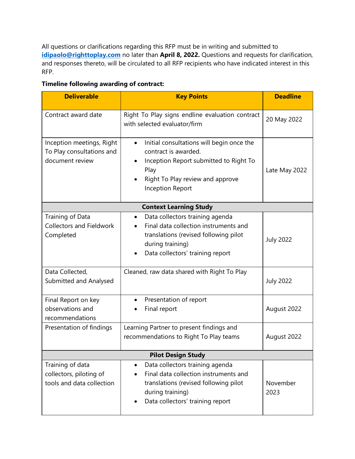All questions or clarifications regarding this RFP must be in writing and submitted to **[idipaolo@righttoplay.com](mailto:idipaolo@righttoplay.com)** no later than **April 8, 2022.** Questions and requests for clarification, and responses thereto, will be circulated to all RFP recipients who have indicated interest in this RFP.

**Timeline following awarding of contract:**

| <b>Deliverable</b>                                                        | <b>Key Points</b>                                                                                                                                                                               | <b>Deadline</b>  |
|---------------------------------------------------------------------------|-------------------------------------------------------------------------------------------------------------------------------------------------------------------------------------------------|------------------|
| Contract award date                                                       | Right To Play signs endline evaluation contract<br>with selected evaluator/firm                                                                                                                 | 20 May 2022      |
| Inception meetings, Right<br>To Play consultations and<br>document review | Initial consultations will begin once the<br>$\bullet$<br>contract is awarded.<br>Inception Report submitted to Right To<br>Play<br>Right To Play review and approve<br><b>Inception Report</b> | Late May 2022    |
|                                                                           | <b>Context Learning Study</b>                                                                                                                                                                   |                  |
| Training of Data<br><b>Collectors and Fieldwork</b><br>Completed          | Data collectors training agenda<br>$\bullet$<br>Final data collection instruments and<br>translations (revised following pilot<br>during training)<br>Data collectors' training report          | <b>July 2022</b> |
| Data Collected,<br>Submitted and Analysed                                 | Cleaned, raw data shared with Right To Play                                                                                                                                                     | <b>July 2022</b> |
| Final Report on key<br>observations and<br>recommendations                | Presentation of report<br>Final report                                                                                                                                                          | August 2022      |
| Presentation of findings                                                  | Learning Partner to present findings and<br>recommendations to Right To Play teams                                                                                                              | August 2022      |
| <b>Pilot Design Study</b>                                                 |                                                                                                                                                                                                 |                  |
| Training of data<br>collectors, piloting of<br>tools and data collection  | Data collectors training agenda<br>$\bullet$<br>Final data collection instruments and<br>translations (revised following pilot<br>during training)<br>Data collectors' training report          | November<br>2023 |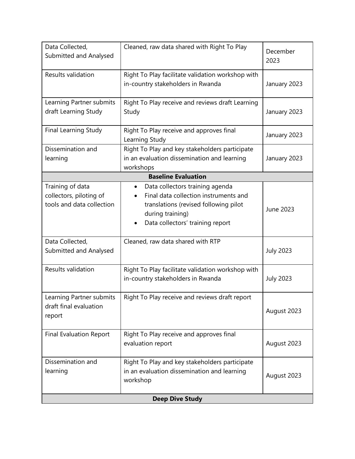| Data Collected,<br>Submitted and Analysed                                | Cleaned, raw data shared with Right To Play                                                                                                                                            | December<br>2023 |
|--------------------------------------------------------------------------|----------------------------------------------------------------------------------------------------------------------------------------------------------------------------------------|------------------|
| Results validation                                                       | Right To Play facilitate validation workshop with<br>in-country stakeholders in Rwanda                                                                                                 | January 2023     |
| Learning Partner submits<br>draft Learning Study                         | Right To Play receive and reviews draft Learning<br>Study                                                                                                                              | January 2023     |
| <b>Final Learning Study</b>                                              | Right To Play receive and approves final<br>Learning Study                                                                                                                             | January 2023     |
| Dissemination and<br>learning                                            | Right To Play and key stakeholders participate<br>in an evaluation dissemination and learning<br>workshops                                                                             | January 2023     |
|                                                                          | <b>Baseline Evaluation</b>                                                                                                                                                             |                  |
| Training of data<br>collectors, piloting of<br>tools and data collection | Data collectors training agenda<br>$\bullet$<br>Final data collection instruments and<br>translations (revised following pilot<br>during training)<br>Data collectors' training report | June 2023        |
| Data Collected,<br>Submitted and Analysed                                | Cleaned, raw data shared with RTP                                                                                                                                                      | <b>July 2023</b> |
| Results validation                                                       | Right To Play facilitate validation workshop with<br>in-country stakeholders in Rwanda                                                                                                 | <b>July 2023</b> |
| Learning Partner submits<br>draft final evaluation<br>report             | Right To Play receive and reviews draft report                                                                                                                                         | August 2023      |
| <b>Final Evaluation Report</b>                                           | Right To Play receive and approves final<br>evaluation report                                                                                                                          | August 2023      |
| Dissemination and<br>learning                                            | Right To Play and key stakeholders participate<br>in an evaluation dissemination and learning<br>workshop                                                                              | August 2023      |
| <b>Deep Dive Study</b>                                                   |                                                                                                                                                                                        |                  |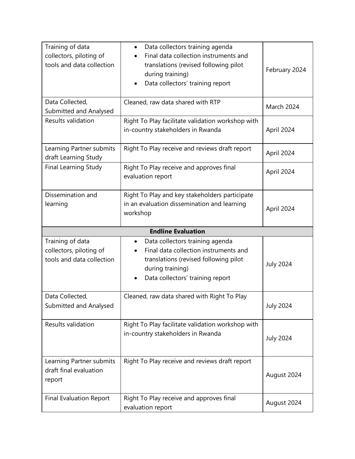| Training of data<br>collectors, piloting of<br>tools and data collection | Data collectors training agenda<br>$\bullet$<br>Final data collection instruments and<br>translations (revised following pilot<br>during training)<br>Data collectors' training report | February 2024             |  |  |
|--------------------------------------------------------------------------|----------------------------------------------------------------------------------------------------------------------------------------------------------------------------------------|---------------------------|--|--|
| Data Collected,<br>Submitted and Analysed                                | Cleaned, raw data shared with RTP                                                                                                                                                      | March 2024                |  |  |
| Results validation                                                       | Right To Play facilitate validation workshop with<br>in-country stakeholders in Rwanda                                                                                                 | April 2024                |  |  |
| Learning Partner submits<br>draft Learning Study                         | Right To Play receive and reviews draft report                                                                                                                                         | April 2024                |  |  |
| Final Learning Study                                                     | Right To Play receive and approves final<br>evaluation report                                                                                                                          | April 2024                |  |  |
| Dissemination and<br>learning                                            | Right To Play and key stakeholders participate<br>in an evaluation dissemination and learning<br>workshop                                                                              | April 2024                |  |  |
|                                                                          |                                                                                                                                                                                        | <b>Endline Evaluation</b> |  |  |
|                                                                          |                                                                                                                                                                                        |                           |  |  |
| Training of data<br>collectors, piloting of<br>tools and data collection | Data collectors training agenda<br>$\bullet$<br>Final data collection instruments and<br>translations (revised following pilot<br>during training)<br>Data collectors' training report | <b>July 2024</b>          |  |  |
| Data Collected,<br>Submitted and Analysed                                | Cleaned, raw data shared with Right To Play                                                                                                                                            | <b>July 2024</b>          |  |  |
| Results validation                                                       | Right To Play facilitate validation workshop with<br>in-country stakeholders in Rwanda                                                                                                 | <b>July 2024</b>          |  |  |
| Learning Partner submits<br>draft final evaluation<br>report             | Right To Play receive and reviews draft report                                                                                                                                         | August 2024               |  |  |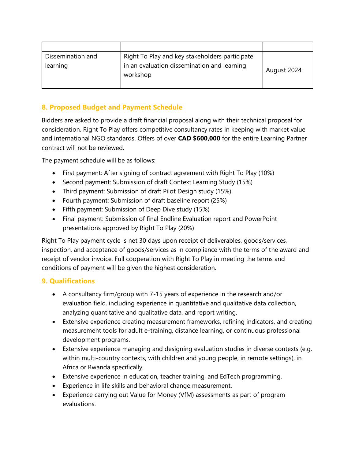| Dissemination and<br>learning | Right To Play and key stakeholders participate<br>in an evaluation dissemination and learning<br>workshop | August 2024 |
|-------------------------------|-----------------------------------------------------------------------------------------------------------|-------------|

## **8. Proposed Budget and Payment Schedule**

Bidders are asked to provide a draft financial proposal along with their technical proposal for consideration. Right To Play offers competitive consultancy rates in keeping with market value and international NGO standards. Offers of over **CAD \$600,000** for the entire Learning Partner contract will not be reviewed.

The payment schedule will be as follows:

- First payment: After signing of contract agreement with Right To Play (10%)
- Second payment: Submission of draft Context Learning Study (15%)
- Third payment: Submission of draft Pilot Design study (15%)
- Fourth payment: Submission of draft baseline report (25%)
- Fifth payment: Submission of Deep Dive study (15%)
- Final payment: Submission of final Endline Evaluation report and PowerPoint presentations approved by Right To Play (20%)

Right To Play payment cycle is net 30 days upon receipt of deliverables, goods/services, inspection, and acceptance of goods/services as in compliance with the terms of the award and receipt of vendor invoice. Full cooperation with Right To Play in meeting the terms and conditions of payment will be given the highest consideration.

#### **9. Qualifications**

- A consultancy firm/group with 7-15 years of experience in the research and/or evaluation field, including experience in quantitative and qualitative data collection, analyzing quantitative and qualitative data, and report writing.
- Extensive experience creating measurement frameworks, refining indicators, and creating measurement tools for adult e-training, distance learning, or continuous professional development programs.
- Extensive experience managing and designing evaluation studies in diverse contexts (e.g. within multi-country contexts, with children and young people, in remote settings), in Africa or Rwanda specifically.
- Extensive experience in education, teacher training, and EdTech programming.
- Experience in life skills and behavioral change measurement.
- Experience carrying out Value for Money (VfM) assessments as part of program evaluations.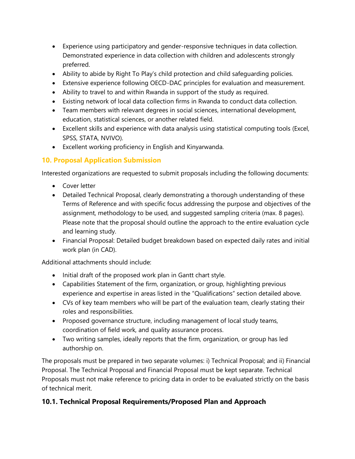- Experience using participatory and gender-responsive techniques in data collection. Demonstrated experience in data collection with children and adolescents strongly preferred.
- Ability to abide by Right To Play's child protection and child safeguarding policies.
- Extensive experience following OECD-DAC principles for evaluation and measurement.
- Ability to travel to and within Rwanda in support of the study as required.
- Existing network of local data collection firms in Rwanda to conduct data collection.
- Team members with relevant degrees in social sciences, international development, education, statistical sciences, or another related field.
- Excellent skills and experience with data analysis using statistical computing tools (Excel, SPSS, STATA, NVIVO).
- Excellent working proficiency in English and Kinyarwanda.

# **10. Proposal Application Submission**

Interested organizations are requested to submit proposals including the following documents:

- Cover letter
- Detailed Technical Proposal, clearly demonstrating a thorough understanding of these Terms of Reference and with specific focus addressing the purpose and objectives of the assignment, methodology to be used, and suggested sampling criteria (max. 8 pages). Please note that the proposal should outline the approach to the entire evaluation cycle and learning study.
- Financial Proposal: Detailed budget breakdown based on expected daily rates and initial work plan (in CAD).

Additional attachments should include:

- Initial draft of the proposed work plan in Gantt chart style.
- Capabilities Statement of the firm, organization, or group, highlighting previous experience and expertise in areas listed in the "Qualifications" section detailed above.
- CVs of key team members who will be part of the evaluation team, clearly stating their roles and responsibilities.
- Proposed governance structure, including management of local study teams, coordination of field work, and quality assurance process.
- Two writing samples, ideally reports that the firm, organization, or group has led authorship on.

The proposals must be prepared in two separate volumes: i) Technical Proposal; and ii) Financial Proposal. The Technical Proposal and Financial Proposal must be kept separate. Technical Proposals must not make reference to pricing data in order to be evaluated strictly on the basis of technical merit.

# **10.1. Technical Proposal Requirements/Proposed Plan and Approach**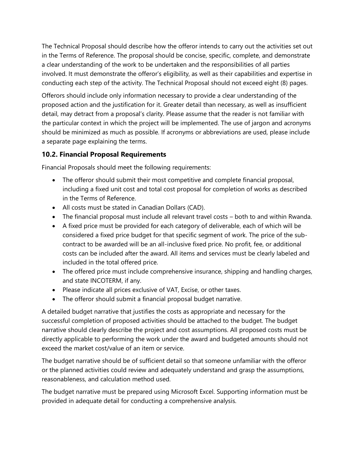The Technical Proposal should describe how the offeror intends to carry out the activities set out in the Terms of Reference. The proposal should be concise, specific, complete, and demonstrate a clear understanding of the work to be undertaken and the responsibilities of all parties involved. It must demonstrate the offeror's eligibility, as well as their capabilities and expertise in conducting each step of the activity. The Technical Proposal should not exceed eight (8) pages.

Offerors should include only information necessary to provide a clear understanding of the proposed action and the justification for it. Greater detail than necessary, as well as insufficient detail, may detract from a proposal's clarity. Please assume that the reader is not familiar with the particular context in which the project will be implemented. The use of jargon and acronyms should be minimized as much as possible. If acronyms or abbreviations are used, please include a separate page explaining the terms.

## **10.2. Financial Proposal Requirements**

Financial Proposals should meet the following requirements:

- The offeror should submit their most competitive and complete financial proposal, including a fixed unit cost and total cost proposal for completion of works as described in the Terms of Reference.
- All costs must be stated in Canadian Dollars (CAD).
- The financial proposal must include all relevant travel costs both to and within Rwanda.
- A fixed price must be provided for each category of deliverable, each of which will be considered a fixed price budget for that specific segment of work. The price of the subcontract to be awarded will be an all-inclusive fixed price. No profit, fee, or additional costs can be included after the award. All items and services must be clearly labeled and included in the total offered price.
- The offered price must include comprehensive insurance, shipping and handling charges, and state INCOTERM, if any.
- Please indicate all prices exclusive of VAT, Excise, or other taxes.
- The offeror should submit a financial proposal budget narrative.

A detailed budget narrative that justifies the costs as appropriate and necessary for the successful completion of proposed activities should be attached to the budget. The budget narrative should clearly describe the project and cost assumptions. All proposed costs must be directly applicable to performing the work under the award and budgeted amounts should not exceed the market cost/value of an item or service.

The budget narrative should be of sufficient detail so that someone unfamiliar with the offeror or the planned activities could review and adequately understand and grasp the assumptions, reasonableness, and calculation method used.

The budget narrative must be prepared using Microsoft Excel. Supporting information must be provided in adequate detail for conducting a comprehensive analysis.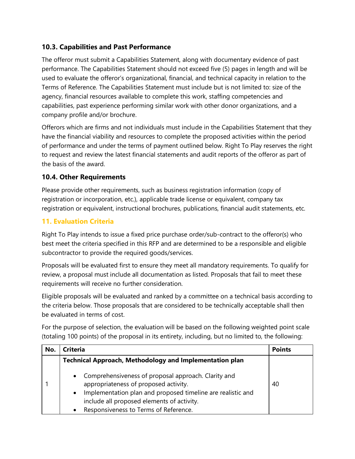### **10.3. Capabilities and Past Performance**

The offeror must submit a Capabilities Statement, along with documentary evidence of past performance. The Capabilities Statement should not exceed five (5) pages in length and will be used to evaluate the offeror's organizational, financial, and technical capacity in relation to the Terms of Reference. The Capabilities Statement must include but is not limited to: size of the agency, financial resources available to complete this work, staffing competencies and capabilities, past experience performing similar work with other donor organizations, and a company profile and/or brochure.

Offerors which are firms and not individuals must include in the Capabilities Statement that they have the financial viability and resources to complete the proposed activities within the period of performance and under the terms of payment outlined below. Right To Play reserves the right to request and review the latest financial statements and audit reports of the offeror as part of the basis of the award.

## **10.4. Other Requirements**

Please provide other requirements, such as business registration information (copy of registration or incorporation, etc.), applicable trade license or equivalent, company tax registration or equivalent, instructional brochures, publications, financial audit statements, etc.

# **11. Evaluation Criteria**

Right To Play intends to issue a fixed price purchase order/sub-contract to the offeror(s) who best meet the criteria specified in this RFP and are determined to be a responsible and eligible subcontractor to provide the required goods/services.

Proposals will be evaluated first to ensure they meet all mandatory requirements. To qualify for review, a proposal must include all documentation as listed. Proposals that fail to meet these requirements will receive no further consideration.

Eligible proposals will be evaluated and ranked by a committee on a technical basis according to the criteria below. Those proposals that are considered to be technically acceptable shall then be evaluated in terms of cost.

For the purpose of selection, the evaluation will be based on the following weighted point scale (totaling 100 points) of the proposal in its entirety, including, but no limited to, the following:

| No. | <b>Criteria</b>                                                                                                                                                                                                                                    | <b>Points</b> |
|-----|----------------------------------------------------------------------------------------------------------------------------------------------------------------------------------------------------------------------------------------------------|---------------|
|     | <b>Technical Approach, Methodology and Implementation plan</b>                                                                                                                                                                                     |               |
|     | Comprehensiveness of proposal approach. Clarity and<br>appropriateness of proposed activity.<br>Implementation plan and proposed timeline are realistic and<br>include all proposed elements of activity.<br>Responsiveness to Terms of Reference. | 40            |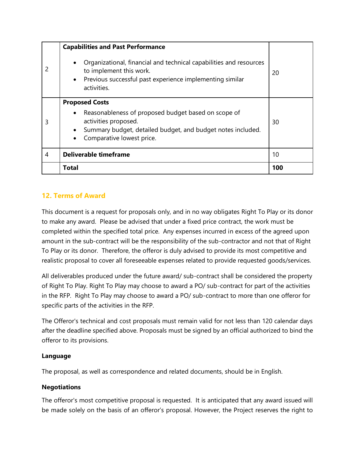|   | <b>Capabilities and Past Performance</b>                                                                                                                                                         |     |
|---|--------------------------------------------------------------------------------------------------------------------------------------------------------------------------------------------------|-----|
|   | Organizational, financial and technical capabilities and resources<br>to implement this work.<br>Previous successful past experience implementing similar<br>$\bullet$<br>activities.            | 20  |
| 3 | <b>Proposed Costs</b><br>Reasonableness of proposed budget based on scope of<br>activities proposed.<br>Summary budget, detailed budget, and budget notes included.<br>Comparative lowest price. | 30  |
| 4 | <b>Deliverable timeframe</b>                                                                                                                                                                     | 10  |
|   | <b>Total</b>                                                                                                                                                                                     | 100 |

# **12. Terms of Award**

This document is a request for proposals only, and in no way obligates Right To Play or its donor to make any award. Please be advised that under a fixed price contract, the work must be completed within the specified total price. Any expenses incurred in excess of the agreed upon amount in the sub-contract will be the responsibility of the sub-contractor and not that of Right To Play or its donor. Therefore, the offeror is duly advised to provide its most competitive and realistic proposal to cover all foreseeable expenses related to provide requested goods/services.

All deliverables produced under the future award/ sub-contract shall be considered the property of Right To Play. Right To Play may choose to award a PO/ sub-contract for part of the activities in the RFP. Right To Play may choose to award a PO/ sub-contract to more than one offeror for specific parts of the activities in the RFP.

The Offeror's technical and cost proposals must remain valid for not less than 120 calendar days after the deadline specified above. Proposals must be signed by an official authorized to bind the offeror to its provisions.

#### **Language**

The proposal, as well as correspondence and related documents, should be in English.

#### **Negotiations**

The offeror's most competitive proposal is requested. It is anticipated that any award issued will be made solely on the basis of an offeror's proposal. However, the Project reserves the right to